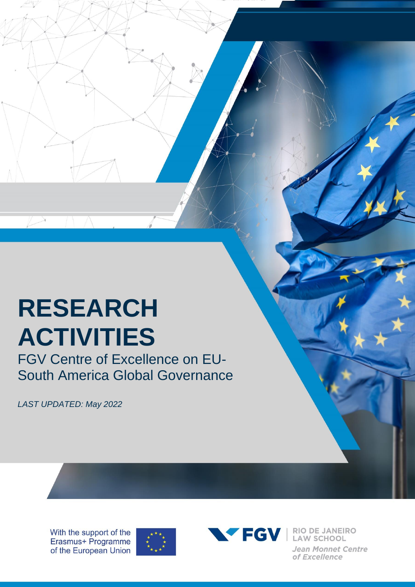## **RESEARCH ACTIVITIES**

FGV Centre of Excellence on EU-South America Global Governance

*LAST UPDATED: May 2022*

With the support of the Erasmus+ Programme of the European Union





Jean Monnet Centre of Excellence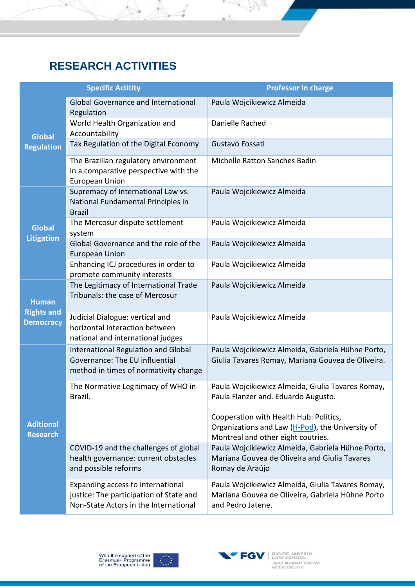## **RESEARCH ACTIVITIES**

×

 $\mathbb{A}$ 

SK VI

A

|                                       | <b>Specific Actitity</b>                                                                                              | <b>Professor in charge</b>                                                                                                       |
|---------------------------------------|-----------------------------------------------------------------------------------------------------------------------|----------------------------------------------------------------------------------------------------------------------------------|
|                                       | <b>Global Governance and International</b><br>Regulation                                                              | Paula Wojcikiewicz Almeida                                                                                                       |
| <b>Global</b>                         | World Health Organization and<br>Accountability                                                                       | Danielle Rached                                                                                                                  |
| <b>Regulation</b>                     | Tax Regulation of the Digital Economy                                                                                 | Gustavo Fossati                                                                                                                  |
|                                       | The Brazilian regulatory environment<br>in a comparative perspective with the<br><b>European Union</b>                | Michelle Ratton Sanches Badin                                                                                                    |
|                                       | Supremacy of International Law vs.<br>National Fundamental Principles in<br><b>Brazil</b>                             | Paula Wojcikiewicz Almeida                                                                                                       |
| <b>Global</b>                         | The Mercosur dispute settlement<br>system                                                                             | Paula Wojcikiewicz Almeida                                                                                                       |
| <b>Litigation</b>                     | Global Governance and the role of the<br><b>European Union</b>                                                        | Paula Wojcikiewicz Almeida                                                                                                       |
|                                       | Enhancing ICJ procedures in order to<br>promote community interests                                                   | Paula Wojcikiewicz Almeida                                                                                                       |
| <b>Human</b>                          | The Legitimacy of International Trade<br>Tribunals: the case of Mercosur                                              | Paula Wojcikiewicz Almeida                                                                                                       |
| <b>Rights and</b><br><b>Democracy</b> | Judicial Dialogue: vertical and<br>horizontal interaction between<br>national and international judges                | Paula Wojcikiewicz Almeida                                                                                                       |
|                                       | International Regulation and Global<br>Governance: The EU influential<br>method in times of normativity change        | Paula Wojcikiewicz Almeida, Gabriela Hühne Porto,<br>Giulia Tavares Romay, Mariana Gouvea de Oliveira.                           |
|                                       | The Normative Legitimacy of WHO in<br>Brazil.                                                                         | Paula Wojcikiewicz Almeida, Giulia Tavares Romay,<br>Paula Flanzer and. Eduardo Augusto.                                         |
| <b>Aditional</b><br><b>Research</b>   |                                                                                                                       | Cooperation with Health Hub: Politics,<br>Organizations and Law (H-Pod), the University of<br>Montreal and other eight coutries. |
|                                       | COVID-19 and the challenges of global<br>health governance: current obstacles<br>and possible reforms                 | Paula Wojcikiewicz Almeida, Gabriela Hühne Porto,<br>Mariana Gouvea de Oliveira and Giulia Tavares<br>Romay de Araújo            |
|                                       | Expanding access to international<br>justice: The participation of State and<br>Non-State Actors in the International | Paula Wojcikiewicz Almeida, Giulia Tavares Romay,<br>Mariana Gouvea de Oliveira, Gabriela Hühne Porto<br>and Pedro Jatene.       |